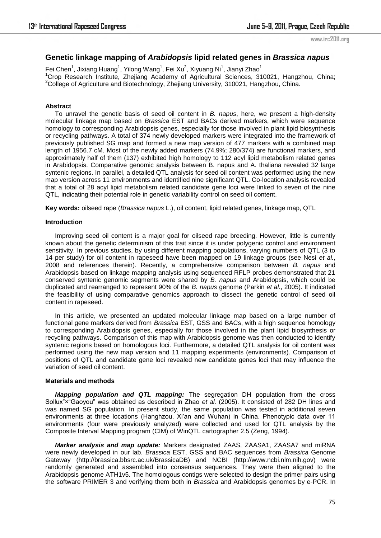www.irc2011.org

# **Genetic linkage mapping of** *Arabidopsis* **lipid related genes in** *Brassica napus*

Fei Chen<sup>1</sup>, Jixiang Huang<sup>1</sup>, Yilong Wang<sup>1</sup>, Fei Xu<sup>2</sup>, Xiyuang Ni<sup>1</sup>, Jianyi Zhao<sup>1</sup> <sup>1</sup>Crop Research Institute, Zhejiang Academy of Agricultural Sciences, 310021, Hangzhou, China; <sup>2</sup>College of Agriculture and Biotechnology, Zhejiang University, 310021, Hangzhou, China.

### **Abstract**

To unravel the genetic basis of seed oil content in *B. napus*, here, we present a high-density molecular linkage map based on *Brassica* EST and BACs derived markers, which were sequence homology to corresponding Arabidopsis genes, especially for those involved in plant lipid biosynthesis or recycling pathways. A total of 374 newly developed markers were integrated into the framework of previously published SG map and formed a new map version of 477 markers with a combined map length of 1956.7 cM. Most of the newly added markers (74.9%; 280/374) are functional markers, and approximately half of them (137) exhibited high homology to 112 acyl lipid metabolism related genes in Arabidopsis. Comparative genomic analysis between B. napus and A. thaliana revealed 32 large syntenic regions. In parallel, a detailed QTL analysis for seed oil content was performed using the new map version across 11 environments and identified nine significant QTL. Co-location analysis revealed that a total of 28 acyl lipid metabolism related candidate gene loci were linked to seven of the nine QTL, indicating their potential role in genetic variability control on seed oil content.

**Key words:** oilseed rape (*Brassica napus* L.), oil content, lipid related genes, linkage map, QTL

### **Introduction**

Improving seed oil content is a major goal for oilseed rape breeding. However, little is currently known about the genetic determinism of this trait since it is under polygenic control and environment sensitivity. In previous studies, by using different mapping populations, varying numbers of QTL (3 to 14 per study) for oil content in rapeseed have been mapped on 19 linkage groups (see Nesi *et al.*, 2008 and references therein). Recently, a comprehensive comparison between *B. napus* and Arabidopsis based on linkage mapping analysis using sequenced RFLP probes demonstrated that 21 conserved syntenic genomic segments were shared by *B. napus* and Arabidopsis, which could be duplicated and rearranged to represent 90% of the *B. napus* genome (Parkin *et al.*, 2005). It indicated the feasibility of using comparative genomics approach to dissect the genetic control of seed oil content in rapeseed.

In this article, we presented an updated molecular linkage map based on a large number of functional gene markers derived from *Brassica* EST, GSS and BACs, with a high sequence homology to corresponding Arabidopsis genes, especially for those involved in the plant lipid biosynthesis or recycling pathways. Comparison of this map with Arabidopsis genome was then conducted to identify syntenic regions based on homologous loci. Furthermore, a detailed QTL analysis for oil content was performed using the new map version and 11 mapping experiments (environments). Comparison of positions of QTL and candidate gene loci revealed new candidate genes loci that may influence the variation of seed oil content.

## **Materials and methods**

*Mapping population and QTL mapping:* The segregation DH population from the cross Sollux"x"Gaoyou" was obtained as described in Zhao *et al.* (2005). It consisted of 282 DH lines and was named SG population. In present study, the same population was tested in additional seven environments at three locations (Hanghzou, Xi"an and Wuhan) in China. Phenotypic data over 11 environments (four were previously analyzed) were collected and used for QTL analysis by the Composite Interval Mapping program (CIM) of WinQTL cartographer 2.5 (Zeng, 1994).

*Marker analysis and map update:* Markers designated ZAAS, ZAASA1, ZAASA7 and miRNA were newly developed in our lab. *Brassica* EST, GSS and BAC sequences from *Brassica* Genome Gateway (http://brassica.bbsrc.ac.uk/BrassicaDB) and NCBI (http://www.ncbi.nlm.nih.gov) were randomly generated and assembled into consensus sequences. They were then aligned to the Arabidopsis genome ATH1v5. The homologous contigs were selected to design the primer pairs using the software PRIMER 3 and verifying them both in *Brassica* and Arabidopsis genomes by e-PCR. In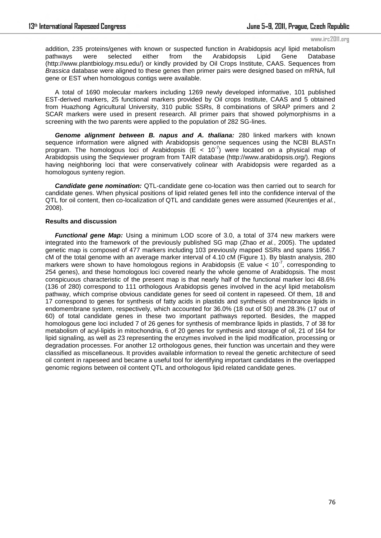#### www.irc2011.org

addition, 235 proteins/genes with known or suspected function in Arabidopsis acyl lipid metabolism pathways were selected either from the Arabidopsis Lipid Gene Database (http://www.plantbiology.msu.edu/) or kindly provided by Oil Crops Institute, CAAS. Sequences from *Brassica* database were aligned to these genes then primer pairs were designed based on mRNA, full gene or EST when homologous contigs were available.

A total of 1690 molecular markers including 1269 newly developed informative, 101 published EST-derived markers, 25 functional markers provided by Oil crops Institute, CAAS and 5 obtained from Huazhong Agricultural University, 310 public SSRs, 8 combinations of SRAP primers and 2 SCAR markers were used in present research. All primer pairs that showed polymorphisms in a screening with the two parents were applied to the population of 282 SG-lines.

*Genome alignment between B. napus and A. thaliana:* 280 linked markers with known sequence information were aligned with Arabidopsis genome sequences using the NCBI BLASTn program. The homologous loci of Arabidopsis  $(E < 10<sup>-7</sup>)$  were located on a physical map of Arabidopsis using the Seqviewer program from TAIR database (http://www.arabidopsis.org/). Regions having neighboring loci that were conservatively colinear with Arabidopsis were regarded as a homologous synteny region.

*Candidate gene nomination:* QTL-candidate gene co-location was then carried out to search for candidate genes. When physical positions of lipid related genes fell into the confidence interval of the QTL for oil content, then co-localization of QTL and candidate genes were assumed (Keurentjes *et al.*, 2008).

## **Results and discussion**

*Functional gene Map:* Using a minimum LOD score of 3.0, a total of 374 new markers were integrated into the framework of the previously published SG map (Zhao *et al.*, 2005). The updated genetic map is composed of 477 markers including 103 previously mapped SSRs and spans 1956.7 cM of the total genome with an average marker interval of 4.10 cM (Figure 1). By blastn analysis, 280 markers were shown to have homologous regions in Arabidopsis (E value  $< 10^{-7}$ , corresponding to 254 genes), and these homologous loci covered nearly the whole genome of Arabidopsis. The most conspicuous characteristic of the present map is that nearly half of the functional marker loci 48.6% (136 of 280) correspond to 111 orthologous Arabidopsis genes involved in the acyl lipid metabolism pathway, which comprise obvious candidate genes for seed oil content in rapeseed. Of them, 18 and 17 correspond to genes for synthesis of fatty acids in plastids and synthesis of membrance lipids in endomembrane system, respectively, which accounted for 36.0% (18 out of 50) and 28.3% (17 out of 60) of total candidate genes in these two important pathways reported. Besides, the mapped homologous gene loci included 7 of 26 genes for synthesis of membrance lipids in plastids, 7 of 38 for metabolism of acyl-lipids in mitochondria, 6 of 20 genes for synthesis and storage of oil, 21 of 164 for lipid signaling, as well as 23 representing the enzymes involved in the lipid modification, processing or degradation processes. For another 12 orthologous genes, their function was uncertain and they were classified as miscellaneous. It provides available information to reveal the genetic architecture of seed oil content in rapeseed and became a useful tool for identifying important candidates in the overlapped genomic regions between oil content QTL and orthologous lipid related candidate genes.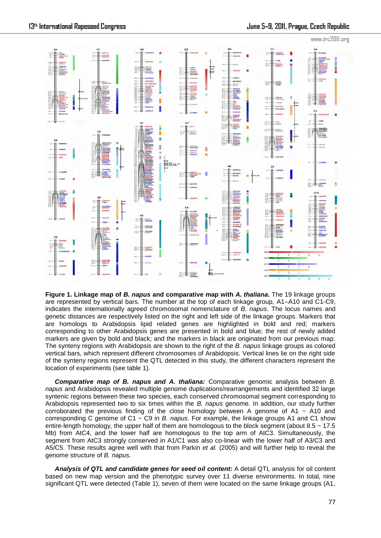

**Figure 1. Linkage map of** *B. napus* **and comparative map with** *A. thaliana***.** The 19 linkage groups are represented by vertical bars. The number at the top of each linkage group, A1–A10 and C1-C9, indicates the internationally agreed chromosomal nomenclature of *B. napus*. The locus names and genetic distances are respectively listed on the right and left side of the linkage groups. Markers that are homologs to Arabidopsis lipid related genes are highlighted in bold and red; markers corresponding to other Arabidopsis genes are presented in bold and blue; the rest of newly added markers are given by bold and black; and the markers in black are originated from our previous map. The synteny regions with Arabidopsis are shown to the right of the *B. napus* linkage groups as colored vertical bars, which represent different chromosomes of Arabidopsis. Vertical lines lie on the right side of the synteny regions represent the QTL detected in this study, the different characters represent the location of experiments (see table 1).

*Comparative map of B. napus and A. thaliana:* Comparative genomic analysis between *B. napus* and Arabidopsis revealed multiple genome duplications/rearrangements and identified 32 large syntenic regions between these two species, each conserved chromosomal segment corresponding to Arabidopsis represented two to six times within the *B. napus* genome. In addition, our study further corroborated the previous finding of the close homology between A genome of A1  $\sim$  A10 and corresponding C genome of C1 ~ C9 in *B. napus*. For example, the linkage groups A1 and C1 show entire-length homology, the upper half of them are homologous to the block segment (about  $8.5 \sim 17.5$ ) Mb) from AtC4, and the lower half are homologous to the top arm of AtC3. Simultaneously, the segment from AtC3 strongly conserved in A1/C1 was also co-linear with the lower half of A3/C3 and A5/C5. These results agree well with that from Parkin *et al.* (2005) and will further help to reveal the genome structure of *B. napus*.

*Analysis of QTL and candidate genes for seed oil content:* A detail QTL analysis for oil content based on new map version and the phenotypic survey over 11 diverse environments. In total, nine significant QTL were detected (Table 1), seven of them were located on the same linkage groups (A1,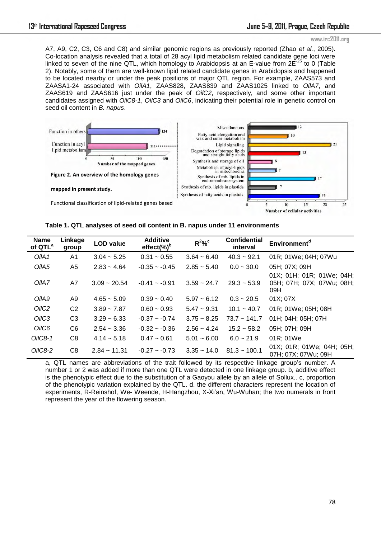### www.irc2011.org

A7, A9, C2, C3, C6 and C8) and similar genomic regions as previously reported (Zhao *et al.*, 2005). Co-location analysis revealed that a total of 28 acyl lipid metabolism related candidate gene loci were linked to seven of the nine QTL, which homology to Arabidopsis at an E-value from  $2E^{-25}$  to 0 (Table 2). Notably, some of them are well-known lipid related candidate genes in Arabidopsis and happened to be located nearby or under the peak positions of major QTL region. For example, ZAAS573 and ZAASA1-24 associated with *OilA1*, ZAAS828, ZAAS839 and ZAAS1025 linked to *OilA7*, and ZAAS619 and ZAAS616 just under the peak of *OilC2*, respectively, and some other important candidates assigned with *OilC8-1*, *OilC3* and *OilC6*, indicating their potential role in genetic control on seed oil content in *B. napus*.



**Table 1. QTL analyses of seed oil content in B. napus under 11 environments**

| <b>Name</b><br>of QTL <sup>a</sup> | Linkage<br>group | <b>LOD</b> value | <b>Additive</b><br>$effect(\%)^b$ | $R^2\%$ <sup>c</sup> | <b>Confidential</b><br>interval | Environment <sup>d</sup>                                      |
|------------------------------------|------------------|------------------|-----------------------------------|----------------------|---------------------------------|---------------------------------------------------------------|
| OilA1                              | A <sub>1</sub>   | $3.04 - 5.25$    | $0.31 - 0.55$                     | $3.64 - 6.40$        | $40.3 - 92.1$                   | 01R; 01We; 04H; 07Wu                                          |
| OilA5                              | A5               | $2.83 - 4.64$    | $-0.35 - 0.45$                    | $2.85 - 5.40$        | $0.0 - 30.0$                    | 05H: 07X: 09H                                                 |
| OilA7                              | A7               | $3.09 - 20.54$   | $-0.41 - 0.91$                    | $3.59 - 24.7$        | $29.3 - 53.9$                   | 01X; 01H; 01R; 01We; 04H;<br>05H; 07H; 07X; 07Wu; 08H;<br>09H |
| OilA9                              | A9               | $4.65 - 5.09$    | $0.39 - 0.40$                     | $5.97 - 6.12$        | $0.3 - 20.5$                    | 01X; 07X                                                      |
| OilC <sub>2</sub>                  | C <sub>2</sub>   | $3.89 - 7.87$    | $0.60 - 0.93$                     | $5.47 \sim 9.31$     | $10.1 - 40.7$                   | 01R: 01We: 05H: 08H                                           |
| OilC <sub>3</sub>                  | C <sub>3</sub>   | $3.29 - 6.33$    | $-0.37 - 0.74$                    | $3.75 - 8.25$        | $73.7 - 141.7$                  | 01H: 04H: 05H: 07H                                            |
| OilC6                              | C <sub>6</sub>   | $2.54 - 3.36$    | $-0.32 - 0.36$                    | $2.56 - 4.24$        | $15.2 - 58.2$                   | 05H; 07H; 09H                                                 |
| $OiIC8-1$                          | C <sub>8</sub>   | $4.14 - 5.18$    | $0.47 - 0.61$                     | $5.01 - 6.00$        | $6.0 - 21.9$                    | 01R; 01We                                                     |
| OilC <sub>8</sub> -2               | C8               | $2.84 - 11.31$   | $-0.27 - 0.73$                    | $3.35 - 14.0$        | $81.3 - 100.1$                  | 01X; 01R; 01We; 04H; 05H;<br>07H; 07X; 07Wu; 09H              |

a, QTL names are abbreviations of the trait followed by its respective linkage group's number. A number 1 or 2 was added if more than one QTL were detected in one linkage group. b, additive effect is the phenotypic effect due to the substitution of a Gaoyou allele by an allele of Sollux.. c, proportion of the phenotypic variation explained by the QTL. d. the different characters represent the location of experiments, R-Reinshof, We- Weende, H-Hangzhou, X-Xi"an, Wu-Wuhan; the two numerals in front represent the year of the flowering season.